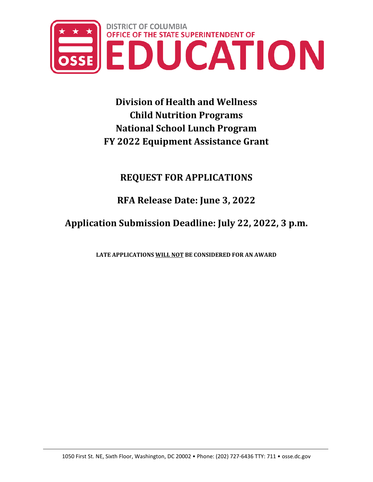

**Division of Health and Wellness Child Nutrition Programs National School Lunch Program FY 2022 Equipment Assistance Grant**

# **REQUEST FOR APPLICATIONS**

**RFA Release Date: June 3, 2022**

**Application Submission Deadline: July 22, 2022, 3 p.m.**

**LATE APPLICATIONS WILL NOT BE CONSIDERED FOR AN AWARD**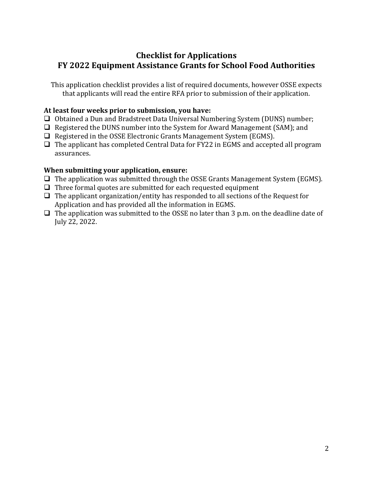# **Checklist for Applications FY 2022 Equipment Assistance Grants for School Food Authorities**

This application checklist provides a list of required documents, however OSSE expects that applicants will read the entire RFA prior to submission of their application.

# **At least four weeks prior to submission, you have:**

- Obtained a Dun and Bradstreet Data Universal Numbering System (DUNS) number;
- $\Box$  Registered the DUNS number into the System for Award Management (SAM); and
- $\Box$  Registered in the OSSE Electronic Grants Management System (EGMS).
- $\Box$  The applicant has completed Central Data for FY22 in EGMS and accepted all program assurances.

# **When submitting your application, ensure:**

- $\Box$  The application was submitted through the OSSE Grants Management System (EGMS).
- $\Box$  Three formal quotes are submitted for each requested equipment
- $\Box$  The applicant organization/entity has responded to all sections of the Request for Application and has provided all the information in EGMS.
- $\Box$  The application was submitted to the OSSE no later than 3 p.m. on the deadline date of July 22, 2022.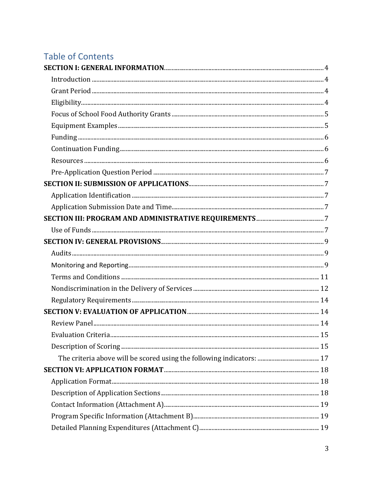# **Table of Contents**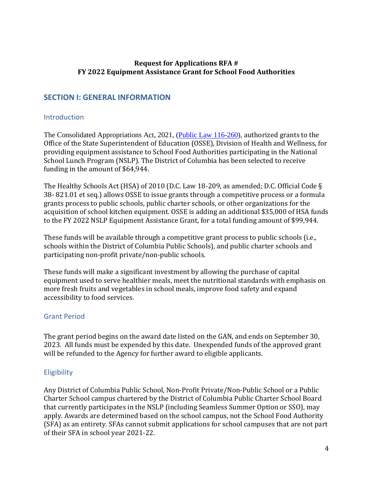## **Request for Applications RFA # FY 2022 Equipment Assistance Grant for School Food Authorities**

# <span id="page-3-0"></span>**SECTION I: GENERAL INFORMATION**

### <span id="page-3-1"></span>Introduction

The Consolidated Appropriations Act, 2021, [\(Public Law](https://www.fns.usda.gov/pl-116-260) 116-260), authorized grants to the Office of the State Superintendent of Education (OSSE), Division of Health and Wellness, for providing equipment assistance to School Food Authorities participating in the National School Lunch Program (NSLP). The District of Columbia has been selected to receive funding in the amount of \$64,944.

The Healthy Schools Act (HSA) of 2010 (D.C. Law 18-209, as amended; D.C. Official Code § 38- 821.01 et seq.) allows OSSE to issue grants through a competitive process or a formula grants process to public schools, public charter schools, or other organizations for the acquisition of school kitchen equipment. OSSE is adding an additional \$35,000 of HSA funds to the FY 2022 NSLP Equipment Assistance Grant, for a total funding amount of \$99,944.

These funds will be available through a competitive grant process to public schools (i.e., schools within the District of Columbia Public Schools), and public charter schools and participating non-profit private/non-public schools.

These funds will make a significant investment by allowing the purchase of capital equipment used to serve healthier meals, meet the nutritional standards with emphasis on more fresh fruits and vegetables in school meals, improve food safety and expand accessibility to food services.

# <span id="page-3-2"></span>Grant Period

The grant period begins on the award date listed on the GAN, and ends on September 30, 2023. All funds must be expended by this date. Unexpended funds of the approved grant will be refunded to the Agency for further award to eligible applicants.

# <span id="page-3-3"></span>**Eligibility**

Any District of Columbia Public School, Non-Profit Private/Non-Public School or a Public Charter School campus chartered by the District of Columbia Public Charter School Board that currently participates in the NSLP (including Seamless Summer Option or SSO), may apply. Awards are determined based on the school campus, not the School Food Authority (SFA) as an entirety. SFAs cannot submit applications for school campuses that are not part of their SFA in school year 2021-22.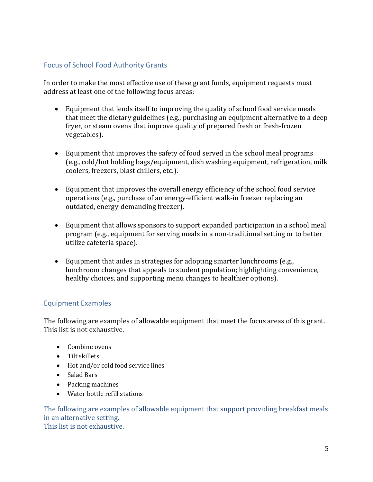# <span id="page-4-0"></span>Focus of School Food Authority Grants

In order to make the most effective use of these grant funds, equipment requests must address at least one of the following focus areas:

- Equipment that lends itself to improving the quality of school food service meals that meet the dietary guidelines (e.g., purchasing an equipment alternative to a deep fryer, or steam ovens that improve quality of prepared fresh or fresh-frozen vegetables).
- Equipment that improves the safety of food served in the school meal programs (e.g., cold/hot holding bags/equipment, dish washing equipment, refrigeration, milk coolers, freezers, blast chillers, etc.).
- Equipment that improves the overall energy efficiency of the school food service operations (e.g., purchase of an energy-efficient walk-in freezer replacing an outdated, energy-demanding freezer).
- Equipment that allows sponsors to support expanded participation in a school meal program (e.g., equipment for serving meals in a non-traditional setting or to better utilize cafeteria space).
- Equipment that aides in strategies for adopting smarter lunchrooms (e.g., lunchroom changes that appeals to student population; highlighting convenience, healthy choices, and supporting menu changes to healthier options).

# <span id="page-4-1"></span>Equipment Examples

The following are examples of allowable equipment that meet the focus areas of this grant. This list is not exhaustive.

- Combine ovens
- Tilt skillets
- Hot and/or cold food service lines
- Salad Bars
- Packing machines
- Water bottle refill stations

The following are examples of allowable equipment that support providing breakfast meals in an alternative setting. This list is not exhaustive.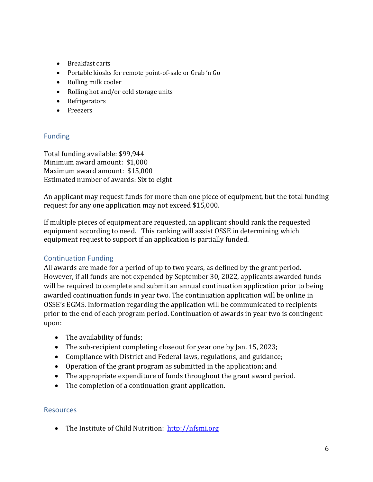- Breakfast carts
- Portable kiosks for remote point-of-sale or Grab 'n Go
- Rolling milk cooler
- Rolling hot and/or cold storage units
- Refrigerators
- Freezers

# <span id="page-5-0"></span>Funding

Total funding available: \$99,944 Minimum award amount: \$1,000 Maximum award amount: \$15,000 Estimated number of awards: Six to eight

An applicant may request funds for more than one piece of equipment, but the total funding request for any one application may not exceed \$15,000.

If multiple pieces of equipment are requested, an applicant should rank the requested equipment according to need. This ranking will assist OSSE in determining which equipment request to support if an application is partially funded.

# <span id="page-5-1"></span>Continuation Funding

All awards are made for a period of up to two years, as defined by the grant period. However, if all funds are not expended by September 30, 2022, applicants awarded funds will be required to complete and submit an annual continuation application prior to being awarded continuation funds in year two. The continuation application will be online in OSSE's EGMS. Information regarding the application will be communicated to recipients prior to the end of each program period. Continuation of awards in year two is contingent upon:

- The availability of funds;
- The sub-recipient completing closeout for year one by Jan. 15, 2023;
- Compliance with District and Federal laws, regulations, and guidance;
- Operation of the grant program as submitted in the application; and
- The appropriate expenditure of funds throughout the grant award period.
- The completion of a continuation grant application.

### <span id="page-5-2"></span>Resources

• The Institute of Child Nutrition: [http://nfsmi.org](http://nfsmi.org/)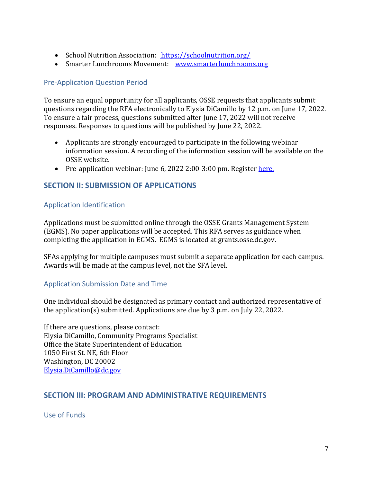- School Nutrition Association: <https://schoolnutrition.org/>
- Smarter Lunchrooms Movement: [www.smarterlunchrooms.org](http://www.smarterlunchrooms.org/)

# <span id="page-6-0"></span>Pre-Application Question Period

To ensure an equal opportunity for all applicants, OSSE requests that applicants submit questions regarding the RFA electronically to Elysia DiCamillo by 12 p.m. on June 17, 2022. To ensure a fair process, questions submitted after June 17, 2022 will not receive responses. Responses to questions will be published by June 22, 2022.

- Applicants are strongly encouraged to participate in the following webinar information session. A recording of the information session will be available on the OSSE website.
- Pre-application webinar: June 6, 2022 2:00-3:00 pm. Register [here.](https://www.surveymonkey.com/r/2S8L6WT)

# <span id="page-6-1"></span>**SECTION II: SUBMISSION OF APPLICATIONS**

### <span id="page-6-2"></span>Application Identification

Applications must be submitted online through the OSSE Grants Management System (EGMS). No paper applications will be accepted. This RFA serves as guidance when completing the application in EGMS. EGMS is located at grants.osse.dc.gov.

SFAs applying for multiple campuses must submit a separate application for each campus. Awards will be made at the campus level, not the SFA level.

### <span id="page-6-3"></span>Application Submission Date and Time

One individual should be designated as primary contact and authorized representative of the application(s) submitted. Applications are due by 3 p.m. on July 22, 2022.

If there are questions, please contact: Elysia DiCamillo, Community Programs Specialist Office the State Superintendent of Education 1050 First St. NE, 6th Floor Washington, DC 20002 [Elysia.DiCamillo@dc.gov](mailto:Elysia.DiCamillo@dc.gov)

### <span id="page-6-4"></span>**SECTION III: PROGRAM AND ADMINISTRATIVE REQUIREMENTS**

<span id="page-6-5"></span>Use of Funds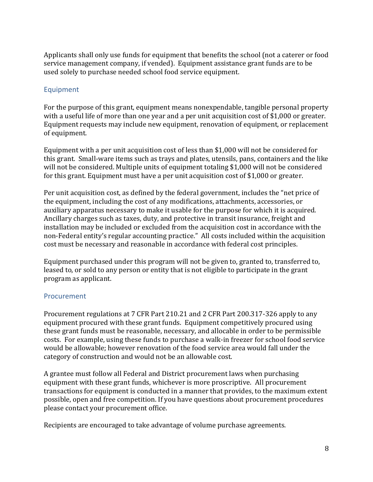Applicants shall only use funds for equipment that benefits the school (not a caterer or food service management company, if vended). Equipment assistance grant funds are to be used solely to purchase needed school food service equipment.

## Equipment

For the purpose of this grant, equipment means nonexpendable, tangible personal property with a useful life of more than one year and a per unit acquisition cost of \$1,000 or greater. Equipment requests may include new equipment, renovation of equipment, or replacement of equipment.

Equipment with a per unit acquisition cost of less than \$1,000 will not be considered for this grant. Small-ware items such as trays and plates, utensils, pans, containers and the like will not be considered. Multiple units of equipment totaling \$1,000 will not be considered for this grant. Equipment must have a per unit acquisition cost of \$1,000 or greater.

Per unit acquisition cost, as defined by the federal government, includes the "net price of the equipment, including the cost of any modifications, attachments, accessories, or auxiliary apparatus necessary to make it usable for the purpose for which it is acquired. Ancillary charges such as taxes, duty, and protective in transit insurance, freight and installation may be included or excluded from the acquisition cost in accordance with the non-Federal entity's regular accounting practice." All costs included within the acquisition cost must be necessary and reasonable in accordance with federal cost principles.

Equipment purchased under this program will not be given to, granted to, transferred to, leased to, or sold to any person or entity that is not eligible to participate in the grant program as applicant.

### Procurement

Procurement regulations at 7 CFR Part 210.21 and 2 CFR Part 200.317-326 apply to any equipment procured with these grant funds. Equipment competitively procured using these grant funds must be reasonable, necessary, and allocable in order to be permissible costs. For example, using these funds to purchase a walk-in freezer for school food service would be allowable; however renovation of the food service area would fall under the category of construction and would not be an allowable cost.

A grantee must follow all Federal and District procurement laws when purchasing equipment with these grant funds, whichever is more proscriptive. All procurement transactions for equipment is conducted in a manner that provides, to the maximum extent possible, open and free competition. If you have questions about procurement procedures please contact your procurement office.

Recipients are encouraged to take advantage of volume purchase agreements.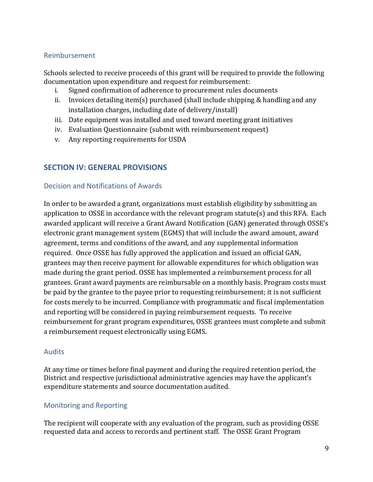### Reimbursement

Schools selected to receive proceeds of this grant will be required to provide the following documentation upon expenditure and request for reimbursement:

- i. Signed confirmation of adherence to procurement rules documents<br>ii. Invoices detailing item(s) purchased (shall include shinning & hand)
- Invoices detailing item(s) purchased (shall include shipping  $&$  handling and any installation charges, including date of delivery/install)
- iii. Date equipment was installed and used toward meeting grant initiatives
- iv. Evaluation Questionnaire (submit with reimbursement request)
- v. Any reporting requirements for USDA

# <span id="page-8-0"></span>**SECTION IV: GENERAL PROVISIONS**

### Decision and Notifications of Awards

In order to be awarded a grant, organizations must establish eligibility by submitting an application to OSSE in accordance with the relevant program statute(s) and this RFA. Each awarded applicant will receive a Grant Award Notification (GAN) generated through OSSE's electronic grant management system (EGMS) that will include the award amount, award agreement, terms and conditions of the award, and any supplemental information required. Once OSSE has fully approved the application and issued an official GAN, grantees may then receive payment for allowable expenditures for which obligation was made during the grant period. OSSE has implemented a reimbursement process for all grantees. Grant award payments are reimbursable on a monthly basis. Program costs must be paid by the grantee to the payee prior to requesting reimbursement; it is not sufficient for costs merely to be incurred. Compliance with programmatic and fiscal implementation and reporting will be considered in paying reimbursement requests. To receive reimbursement for grant program expenditures, OSSE grantees must complete and submit a reimbursement request electronically using EGMS.

### <span id="page-8-1"></span>Audits

At any time or times before final payment and during the required retention period, the District and respective jurisdictional administrative agencies may have the applicant's expenditure statements and source documentation audited.

# <span id="page-8-2"></span>Monitoring and Reporting

The recipient will cooperate with any evaluation of the program, such as providing OSSE requested data and access to records and pertinent staff. The OSSE Grant Program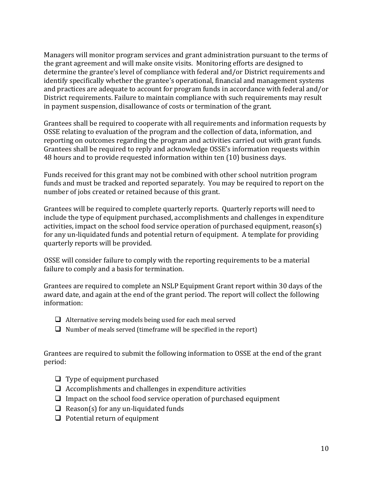Managers will monitor program services and grant administration pursuant to the terms of the grant agreement and will make onsite visits. Monitoring efforts are designed to determine the grantee's level of compliance with federal and/or District requirements and identify specifically whether the grantee's operational, financial and management systems and practices are adequate to account for program funds in accordance with federal and/or District requirements. Failure to maintain compliance with such requirements may result in payment suspension, disallowance of costs or termination of the grant.

Grantees shall be required to cooperate with all requirements and information requests by OSSE relating to evaluation of the program and the collection of data, information, and reporting on outcomes regarding the program and activities carried out with grant funds. Grantees shall be required to reply and acknowledge OSSE's information requests within 48 hours and to provide requested information within ten (10) business days.

Funds received for this grant may not be combined with other school nutrition program funds and must be tracked and reported separately. You may be required to report on the number of jobs created or retained because of this grant.

Grantees will be required to complete quarterly reports. Quarterly reports will need to include the type of equipment purchased, accomplishments and challenges in expenditure activities, impact on the school food service operation of purchased equipment, reason(s) for any un-liquidated funds and potential return of equipment. A template for providing quarterly reports will be provided.

OSSE will consider failure to comply with the reporting requirements to be a material failure to comply and a basis for termination.

Grantees are required to complete an NSLP Equipment Grant report within 30 days of the award date, and again at the end of the grant period. The report will collect the following information:

- $\Box$  Alternative serving models being used for each meal served
- $\Box$  Number of meals served (time frame will be specified in the report)

Grantees are required to submit the following information to OSSE at the end of the grant period:

- $\Box$  Type of equipment purchased
- $\Box$  Accomplishments and challenges in expenditure activities
- $\Box$  Impact on the school food service operation of purchased equipment
- $\Box$  Reason(s) for any un-liquidated funds
- $\Box$  Potential return of equipment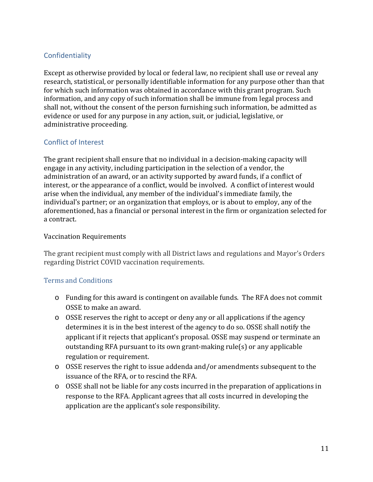# **Confidentiality**

Except as otherwise provided by local or federal law, no recipient shall use or reveal any research, statistical, or personally identifiable information for any purpose other than that for which such information was obtained in accordance with this grant program. Such information, and any copy of such information shall be immune from legal process and shall not, without the consent of the person furnishing such information, be admitted as evidence or used for any purpose in any action, suit, or judicial, legislative, or administrative proceeding.

# Conflict of Interest

The grant recipient shall ensure that no individual in a decision-making capacity will engage in any activity, including participation in the selection of a vendor, the administration of an award, or an activity supported by award funds, if a conflict of interest, or the appearance of a conflict, would be involved. A conflict of interest would arise when the individual, any member of the individual's immediate family, the individual's partner; or an organization that employs, or is about to employ, any of the aforementioned, has a financial or personal interest in the firm or organization selected for a contract.

### Vaccination Requirements

The grant recipient must comply with all District laws and regulations and Mayor's Orders regarding District COVID vaccination requirements.

# <span id="page-10-0"></span>Terms and Conditions

- o Funding for this award is contingent on available funds. The RFA does not commit OSSE to make an award.
- o OSSE reserves the right to accept or deny any or all applications if the agency determines it is in the best interest of the agency to do so. OSSE shall notify the applicant if it rejects that applicant's proposal. OSSE may suspend or terminate an outstanding RFA pursuant to its own grant-making rule(s) or any applicable regulation or requirement.
- o OSSE reserves the right to issue addenda and/or amendments subsequent to the issuance of the RFA, or to rescind the RFA.
- o OSSE shall not be liable for any costs incurred in the preparation of applications in response to the RFA. Applicant agrees that all costs incurred in developing the application are the applicant's sole responsibility.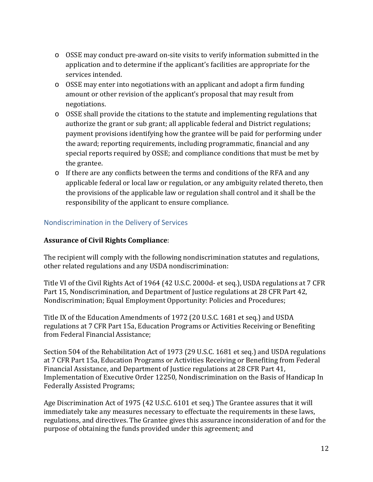- o OSSE may conduct pre-award on-site visits to verify information submitted in the application and to determine if the applicant's facilities are appropriate for the services intended.
- $\circ$  OSSE may enter into negotiations with an applicant and adopt a firm funding amount or other revision of the applicant's proposal that may result from negotiations.
- $\circ$  OSSE shall provide the citations to the statute and implementing regulations that authorize the grant or sub grant; all applicable federal and District regulations; payment provisions identifying how the grantee will be paid for performing under the award; reporting requirements, including programmatic, financial and any special reports required by OSSE; and compliance conditions that must be met by the grantee.
- $\circ$  If there are any conflicts between the terms and conditions of the RFA and any applicable federal or local law or regulation, or any ambiguity related thereto, then the provisions of the applicable law or regulation shall control and it shall be the responsibility of the applicant to ensure compliance.

# <span id="page-11-0"></span>Nondiscrimination in the Delivery of Services

## **Assurance of Civil Rights Compliance**:

The recipient will comply with the following nondiscrimination statutes and regulations, other related regulations and any USDA nondiscrimination:

Title VI of the Civil Rights Act of 1964 (42 U.S.C. 2000d- et seq.), USDA regulations at 7 CFR Part 15, Nondiscrimination, and Department of Justice regulations at 28 CFR Part 42, Nondiscrimination; Equal Employment Opportunity: Policies and Procedures;

Title IX of the Education Amendments of 1972 (20 U.S.C. 1681 et seq.) and USDA regulations at 7 CFR Part 15a, Education Programs or Activities Receiving or Benefiting from Federal Financial Assistance;

Section 504 of the Rehabilitation Act of 1973 (29 U.S.C. 1681 et seq.) and USDA regulations at 7 CFR Part 15a, Education Programs or Activities Receiving or Benefiting from Federal Financial Assistance, and Department of Justice regulations at 28 CFR Part 41, Implementation of Executive Order 12250, Nondiscrimination on the Basis of Handicap In Federally Assisted Programs;

Age Discrimination Act of 1975 (42 U.S.C. 6101 et seq.) The Grantee assures that it will immediately take any measures necessary to effectuate the requirements in these laws, regulations, and directives. The Grantee gives this assurance inconsideration of and for the purpose of obtaining the funds provided under this agreement; and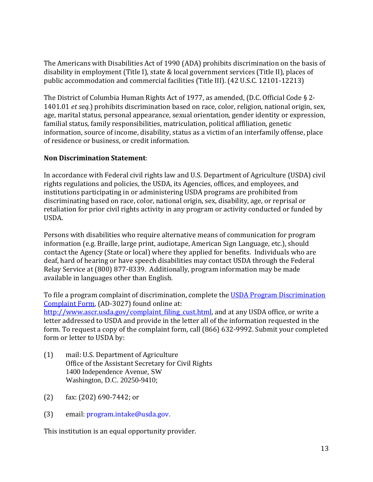The Americans with Disabilities Act of 1990 (ADA) prohibits discrimination on the basis of disability in employment (Title I), state & local government services (Title II), places of public accommodation and commercial facilities (Title III). (42 U.S.C. 12101-12213)

The District of Columbia Human Rights Act of 1977, as amended, (D.C. Official Code § 2- 1401.01 *et seq.*) prohibits discrimination based on race, color, religion, national origin, sex, age, marital status, personal appearance, sexual orientation, gender identity or expression, familial status, family responsibilities, matriculation, political affiliation, genetic information, source of income, disability, status as a victim of an interfamily offense, place of residence or business, or credit information.

# **Non Discrimination Statement**:

In accordance with Federal civil rights law and U.S. Department of Agriculture (USDA) civil rights regulations and policies, the USDA, its Agencies, offices, and employees, and institutions participating in or administering USDA programs are prohibited from discriminating based on race, color, national origin, sex, disability, age, or reprisal or retaliation for prior civil rights activity in any program or activity conducted or funded by USDA.

Persons with disabilities who require alternative means of communication for program information (e.g. Braille, large print, audiotape, American Sign Language, etc.), should contact the Agency (State or local) where they applied for benefits. Individuals who are deaf, hard of hearing or have speech disabilities may contact USDA through the Federal Relay Service at (800) 877-8339. Additionally, program information may be made available in languages other than English.

To file a program complaint of discrimination, complete the USDA Program Discrimination [Complaint Form,](http://www.ocio.usda.gov/sites/default/files/docs/2012/Complain_combined_6_8_12.pdf) (AD-3027) found online at:

[http://www.ascr.usda.gov/complaint\\_filing\\_cust.html,](http://www.ascr.usda.gov/complaint_filing_cust.html) and at any USDA office, or write a letter addressed to USDA and provide in the letter all of the information requested in the form. To request a copy of the complaint form, call (866) 632-9992. Submit your completed form or letter to USDA by:

- (1) mail: U.S. Department of Agriculture Office of the Assistant Secretary for Civil Rights 1400 Independence Avenue, SW Washington, D.C. 20250-9410;
- (2) fax: (202) 690-7442; or
- (3) email: program.intake@usda.gov.

This institution is an equal opportunity provider.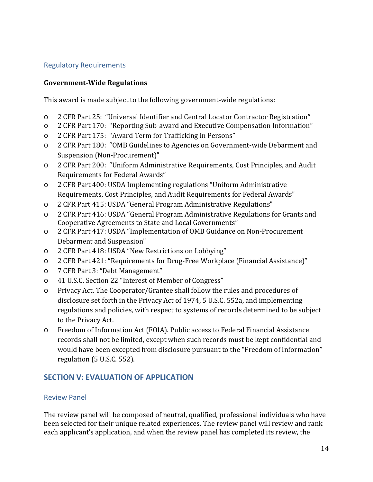# <span id="page-13-0"></span>Regulatory Requirements

### **Government-Wide Regulations**

This award is made subject to the following government-wide regulations:

- o 2 CFR Part 25: "Universal Identifier and Central Locator Contractor Registration"
- o 2 CFR Part 170: "Reporting Sub-award and Executive Compensation Information"
- o 2 CFR Part 175: "Award Term for Trafficking in Persons"
- o 2 CFR Part 180: "OMB Guidelines to Agencies on Government-wide Debarment and Suspension (Non-Procurement)"
- o 2 CFR Part 200: "Uniform Administrative Requirements, Cost Principles, and Audit Requirements for Federal Awards"
- o 2 CFR Part 400: USDA Implementing regulations "Uniform Administrative Requirements, Cost Principles, and Audit Requirements for Federal Awards"
- o 2 CFR Part 415: USDA "General Program Administrative Regulations"
- o 2 CFR Part 416: USDA "General Program Administrative Regulations for Grants and Cooperative Agreements to State and Local Governments"
- o 2 CFR Part 417: USDA "Implementation of OMB Guidance on Non-Procurement Debarment and Suspension"
- o 2 CFR Part 418: USDA "New Restrictions on Lobbying"
- o 2 CFR Part 421: "Requirements for Drug-Free Workplace (Financial Assistance)"
- o 7 CFR Part 3: "Debt Management"
- o 41 U.S.C. Section 22 "Interest of Member of Congress"
- o Privacy Act. The Cooperator/Grantee shall follow the rules and procedures of disclosure set forth in the Privacy Act of 1974, 5 U.S.C. 552a, and implementing regulations and policies, with respect to systems of records determined to be subject to the Privacy Act.
- o Freedom of Information Act (FOIA). Public access to Federal Financial Assistance records shall not be limited, except when such records must be kept confidential and would have been excepted from disclosure pursuant to the "Freedom of Information" regulation (5 U.S.C. 552).

# <span id="page-13-1"></span>**SECTION V: EVALUATION OF APPLICATION**

### <span id="page-13-2"></span>Review Panel

The review panel will be composed of neutral, qualified, professional individuals who have been selected for their unique related experiences. The review panel will review and rank each applicant's application, and when the review panel has completed its review, the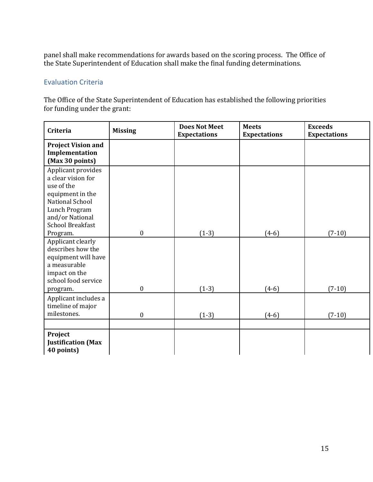panel shall make recommendations for awards based on the scoring process. The Office of the State Superintendent of Education shall make the final funding determinations.

## <span id="page-14-0"></span>Evaluation Criteria

The Office of the State Superintendent of Education has established the following priorities for funding under the grant:

<span id="page-14-1"></span>

| Criteria                                                                                                                                                     | <b>Missing</b>                       | <b>Does Not Meet</b><br><b>Expectations</b> | <b>Meets</b><br><b>Expectations</b> | <b>Exceeds</b><br><b>Expectations</b> |  |
|--------------------------------------------------------------------------------------------------------------------------------------------------------------|--------------------------------------|---------------------------------------------|-------------------------------------|---------------------------------------|--|
| <b>Project Vision and</b><br>Implementation<br>(Max 30 points)                                                                                               |                                      |                                             |                                     |                                       |  |
| Applicant provides<br>a clear vision for<br>use of the<br>equipment in the<br>National School<br>Lunch Program<br>and/or National<br><b>School Breakfast</b> |                                      |                                             |                                     |                                       |  |
| Program.<br>Applicant clearly<br>describes how the<br>equipment will have<br>a measurable<br>impact on the<br>school food service<br>program.                | $\boldsymbol{0}$<br>$\boldsymbol{0}$ | $(1-3)$<br>$(1-3)$                          | $(4-6)$<br>$(4-6)$                  | $(7-10)$<br>$(7-10)$                  |  |
| Applicant includes a<br>timeline of major<br>milestones.                                                                                                     | $\mathbf{0}$                         | $(1-3)$                                     | $(4-6)$                             | $(7-10)$                              |  |
| Project<br><b>Justification (Max</b><br>40 points)                                                                                                           |                                      |                                             |                                     |                                       |  |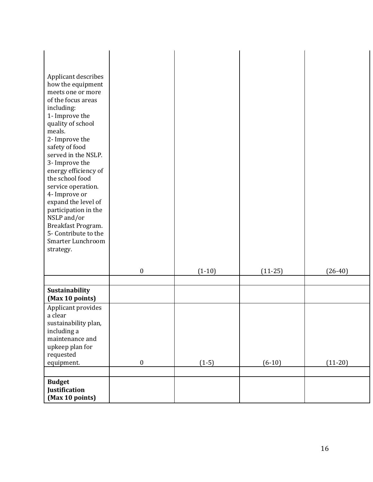| Applicant describes<br>how the equipment<br>meets one or more<br>of the focus areas<br>including:<br>1- Improve the<br>quality of school<br>meals.<br>2- Improve the<br>safety of food<br>served in the NSLP.<br>3- Improve the<br>energy efficiency of<br>the school food<br>service operation.<br>4- Improve or<br>expand the level of<br>participation in the<br>NSLP and/or<br>Breakfast Program.<br>5- Contribute to the<br>Smarter Lunchroom<br>strategy. |                  |          |           |           |
|-----------------------------------------------------------------------------------------------------------------------------------------------------------------------------------------------------------------------------------------------------------------------------------------------------------------------------------------------------------------------------------------------------------------------------------------------------------------|------------------|----------|-----------|-----------|
|                                                                                                                                                                                                                                                                                                                                                                                                                                                                 | $\boldsymbol{0}$ | $(1-10)$ | $(11-25)$ | $(26-40)$ |
|                                                                                                                                                                                                                                                                                                                                                                                                                                                                 |                  |          |           |           |
| Sustainability<br>(Max 10 points)                                                                                                                                                                                                                                                                                                                                                                                                                               |                  |          |           |           |
| Applicant provides<br>a clear<br>sustainability plan,<br>including a<br>maintenance and<br>upkeep plan for<br>requested<br>equipment.                                                                                                                                                                                                                                                                                                                           | $\boldsymbol{0}$ | $(1-5)$  | $(6-10)$  | $(11-20)$ |
|                                                                                                                                                                                                                                                                                                                                                                                                                                                                 |                  |          |           |           |
| <b>Budget</b><br>Justification<br>(Max 10 points)                                                                                                                                                                                                                                                                                                                                                                                                               |                  |          |           |           |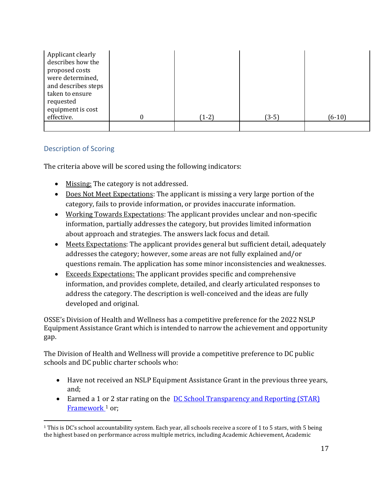| Applicant clearly<br>describes how the<br>proposed costs<br>were determined,<br>and describes steps<br>taken to ensure<br>requested<br>equipment is cost<br>effective. | $(1-2)$ | $(3-5)$ | $(6-10)$ |
|------------------------------------------------------------------------------------------------------------------------------------------------------------------------|---------|---------|----------|
|                                                                                                                                                                        |         |         |          |

# Description of Scoring

<span id="page-16-0"></span>The criteria above will be scored using the following indicators:

- Missing: The category is not addressed.
- Does Not Meet Expectations: The applicant is missing a very large portion of the category, fails to provide information, or provides inaccurate information.
- Working Towards Expectations: The applicant provides unclear and non-specific information, partially addresses the category, but provides limited information about approach and strategies. The answers lack focus and detail.
- Meets Expectations: The applicant provides general but sufficient detail, adequately addresses the category; however, some areas are not fully explained and/or questions remain. The application has some minor inconsistencies and weaknesses.
- Exceeds Expectations: The applicant provides specific and comprehensive information, and provides complete, detailed, and clearly articulated responses to address the category. The description is well-conceived and the ideas are fully developed and original.

OSSE's Division of Health and Wellness has a competitive preference for the 2022 NSLP Equipment Assistance Grant which is intended to narrow the achievement and opportunity gap.

The Division of Health and Wellness will provide a competitive preference to DC public schools and DC public charter schools who:

- Have not received an NSLP Equipment Assistance Grant in the previous three years, and;
- Earned a 1 or 2 star rating on the **DC School Transparency and Reporting (STAR)** Framework<sup>[1](#page-16-1)</sup> or;

<span id="page-16-1"></span> $1$  This is DC's school accountability system. Each year, all schools receive a score of 1 to 5 stars, with 5 being the highest based on performance across multiple metrics, including Academic Achievement, Academic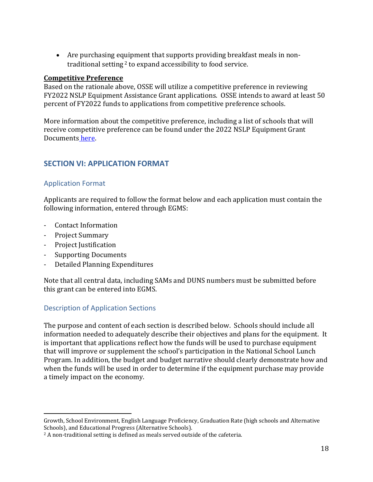• Are purchasing equipment that supports providing breakfast meals in nontraditional setting<sup>2</sup> to expand accessibility to food service.

#### **Competitive Preference**

Based on the rationale above, OSSE will utilize a competitive preference in reviewing FY2022 NSLP Equipment Assistance Grant applications. OSSE intends to award at least 50 percent of FY2022 funds to applications from competitive preference schools.

More information about the competitive preference, including a list of schools that will receive competitive preference can be found under the 2022 NSLP Equipment Grant Documents [here.](https://osse.dc.gov/publication/nslp-equipment-assistance-grant)

# <span id="page-17-0"></span>**SECTION VI: APPLICATION FORMAT**

# <span id="page-17-1"></span>Application Format

Applicants are required to follow the format below and each application must contain the following information, entered through EGMS:

- Contact Information
- Project Summary
- Project Justification
- Supporting Documents
- Detailed Planning Expenditures

Note that all central data, including SAMs and DUNS numbers must be submitted before this grant can be entered into EGMS.

# <span id="page-17-2"></span>Description of Application Sections

The purpose and content of each section is described below. Schools should include all information needed to adequately describe their objectives and plans for the equipment. It is important that applications reflect how the funds will be used to purchase equipment that will improve or supplement the school's participation in the National School Lunch Program. In addition, the budget and budget narrative should clearly demonstrate how and when the funds will be used in order to determine if the equipment purchase may provide a timely impact on the economy.

Growth, School Environment, English Language Proficiency, Graduation Rate (high schools and Alternative Schools), and Educational Progress (Alternative Schools).

<sup>&</sup>lt;sup>2</sup> A non-traditional setting is defined as meals served outside of the cafeteria.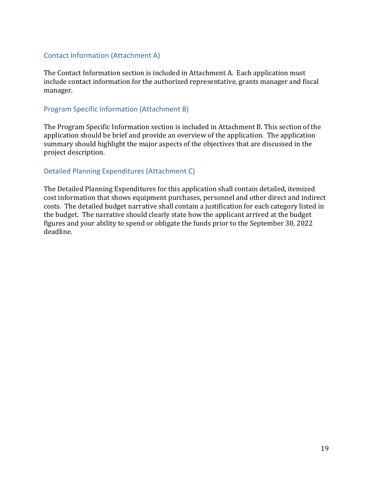## <span id="page-18-0"></span>Contact Information (Attachment A)

The Contact Information section is included in Attachment A. Each application must include contact information for the authorized representative, grants manager and fiscal manager.

### <span id="page-18-1"></span>Program Specific Information (Attachment B)

The Program Specific Information section is included in Attachment B. This section of the application should be brief and provide an overview of the application. The application summary should highlight the major aspects of the objectives that are discussed in the project description.

### <span id="page-18-2"></span>Detailed Planning Expenditures (Attachment C)

The Detailed Planning Expenditures for this application shall contain detailed, itemized cost information that shows equipment purchases, personnel and other direct and indirect costs. The detailed budget narrative shall contain a justification for each category listed in the budget. The narrative should clearly state how the applicant arrived at the budget figures and your ability to spend or obligate the funds prior to the September 30, 2022 deadline.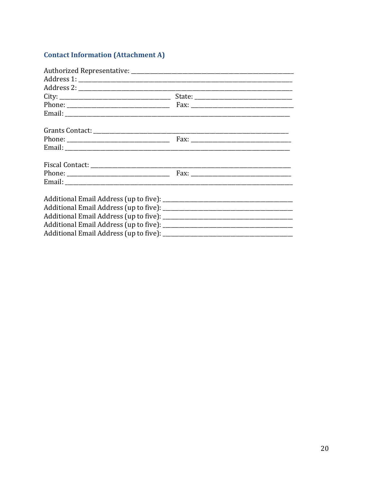# **Contact Information (Attachment A)**

| $City: ____________$ |  |
|----------------------|--|
|                      |  |
|                      |  |
|                      |  |
|                      |  |
|                      |  |
|                      |  |
|                      |  |
|                      |  |
|                      |  |
|                      |  |
|                      |  |
|                      |  |
|                      |  |
|                      |  |
|                      |  |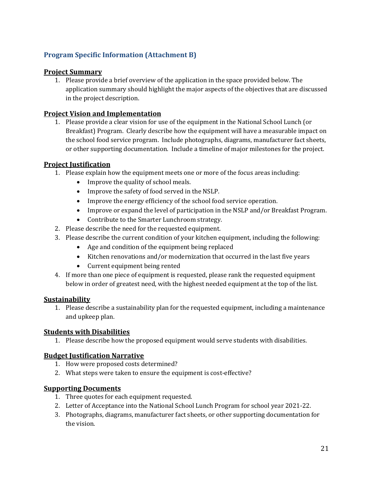# **Program Specific Information (Attachment B)**

### **Project Summary**

1. Please provide a brief overview of the application in the space provided below. The application summary should highlight the major aspects of the objectives that are discussed in the project description.

### **Project Vision and Implementation**

1. Please provide a clear vision for use of the equipment in the National School Lunch (or Breakfast) Program. Clearly describe how the equipment will have a measurable impact on the school food service program. Include photographs, diagrams, manufacturer fact sheets, or other supporting documentation. Include a timeline of major milestones for the project.

### **Project Justification**

- 1. Please explain how the equipment meets one or more of the focus areas including:
	- Improve the quality of school meals.
	- Improve the safety of food served in the NSLP.
	- Improve the energy efficiency of the school food service operation.
	- Improve or expand the level of participation in the NSLP and/or Breakfast Program.
	- Contribute to the Smarter Lunchroom strategy.
- 2. Please describe the need for the requested equipment.
- 3. Please describe the current condition of your kitchen equipment, including the following:
	- Age and condition of the equipment being replaced
	- Kitchen renovations and/or modernization that occurred in the last five years
	- Current equipment being rented
- 4. If more than one piece of equipment is requested, please rank the requested equipment below in order of greatest need, with the highest needed equipment at the top of the list.

### **Sustainability**

1. Please describe a sustainability plan for the requested equipment, including a maintenance and upkeep plan.

#### **Students with Disabilities**

1. Please describe how the proposed equipment would serve students with disabilities.

### **Budget Justification Narrative**

- 1. How were proposed costs determined?
- 2. What steps were taken to ensure the equipment is cost-effective?

### **Supporting Documents**

- 1. Three quotes for each equipment requested.
- 2. Letter of Acceptance into the National School Lunch Program for school year 2021-22.
- 3. Photographs, diagrams, manufacturer fact sheets, or other supporting documentation for the vision.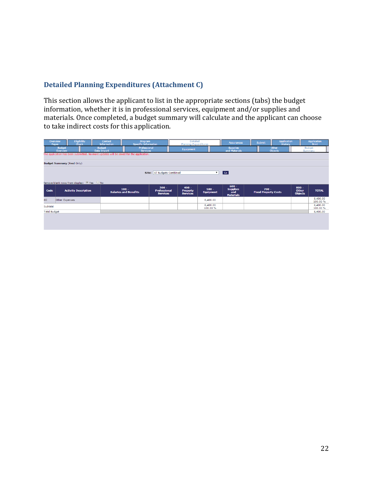# **Detailed Planning Expenditures (Attachment C)**

This section allows the applicant to list in the appropriate sections (tabs) the budget information, whether it is in professional services, equipment and/or supplies and materials. Once completed, a budget summary will calculate and the applicant can choose to take indirect costs for this application.

| Overview<br>Pages                                                                                  | <b>Eligibility</b><br>Check                                                            | Contact<br><b>Information</b>                                   | Program<br><b>Specific Information</b>  |                                        | <b>Detailed</b><br><b>Planning Expenditures</b> |                             | <b>Assurances</b>                          | <b>Submit</b>                          | <b>Application</b><br><b>History</b> |                                | <b>Application</b><br>Print |
|----------------------------------------------------------------------------------------------------|----------------------------------------------------------------------------------------|-----------------------------------------------------------------|-----------------------------------------|----------------------------------------|-------------------------------------------------|-----------------------------|--------------------------------------------|----------------------------------------|--------------------------------------|--------------------------------|-----------------------------|
|                                                                                                    | <b>Budget</b><br>Overview                                                              | <b>Budget</b><br>Professional<br>Data Import<br><b>Services</b> |                                         |                                        | Equipment                                       |                             | <b>Supplies</b><br>and Materials           |                                        | Other<br><b>Objects</b>              | <b>Budget</b><br>Summary       |                             |
|                                                                                                    | The application has been submitted. No more updates will be saved for the application. |                                                                 |                                         |                                        |                                                 |                             |                                            |                                        |                                      |                                |                             |
|                                                                                                    | <b>Budget Summary (Read Only)</b>                                                      |                                                                 |                                         |                                        |                                                 |                             |                                            |                                        |                                      |                                |                             |
| $\overline{\phantom{a}}$ Go $\overline{\phantom{a}}$<br>Site: All Budgets Combined<br>$\mathbf{v}$ |                                                                                        |                                                                 |                                         |                                        |                                                 |                             |                                            |                                        |                                      |                                |                             |
|                                                                                                    | Remove blank rows from display: Yes O No                                               |                                                                 |                                         | $300 -$                                | $400 -$                                         |                             | $600 -$                                    |                                        |                                      | $800 -$                        |                             |
| Code                                                                                               | <b>Activity Description</b>                                                            |                                                                 | $100 -$<br><b>Salaries and Benefits</b> | <b>Professional</b><br><b>Services</b> | <b>Property</b><br><b>Services</b>              | $500 -$<br><b>Equipment</b> | <b>Supplies</b><br>and<br><b>Materials</b> | $700 -$<br><b>Fixed Property Costs</b> |                                      | <b>Other</b><br><b>Objects</b> | <b>TOTAL</b>                |
| 80                                                                                                 | Other Expenses                                                                         |                                                                 |                                         |                                        |                                                 | 8,400.00                    |                                            |                                        |                                      |                                | 8,400.00<br>100.00 %        |
| Subtotal                                                                                           |                                                                                        |                                                                 |                                         |                                        |                                                 | 8,400.00<br>100.00%         |                                            |                                        |                                      |                                | 8,400.00<br>100.00 %        |
| <b>Total Budget</b>                                                                                |                                                                                        |                                                                 |                                         |                                        |                                                 | 8,400.00                    |                                            |                                        |                                      |                                |                             |
|                                                                                                    |                                                                                        |                                                                 |                                         |                                        |                                                 |                             |                                            |                                        |                                      |                                |                             |